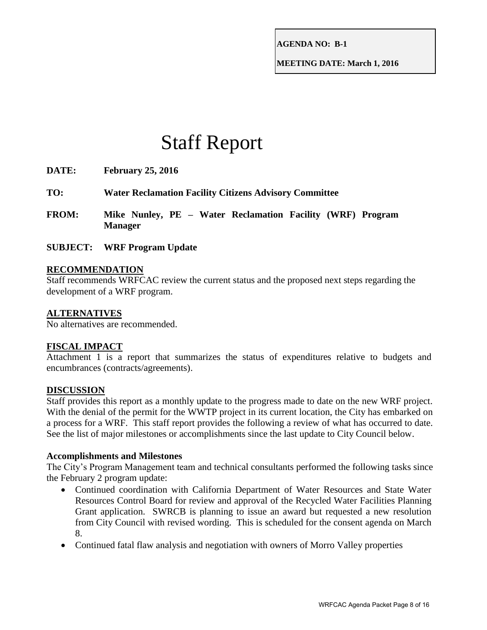**AGENDA NO: B-1**

**MEETING DATE: March 1, 2016**

# Staff Report

| DATE:        | <b>February 25, 2016</b>                                                     |  |  |  |  |  |  |  |  |  |
|--------------|------------------------------------------------------------------------------|--|--|--|--|--|--|--|--|--|
| TO:          | <b>Water Reclamation Facility Citizens Advisory Committee</b>                |  |  |  |  |  |  |  |  |  |
| <b>FROM:</b> | Mike Nunley, PE - Water Reclamation Facility (WRF) Program<br><b>Manager</b> |  |  |  |  |  |  |  |  |  |
|              | <b>SUBJECT:</b> WRF Program Update                                           |  |  |  |  |  |  |  |  |  |

## **RECOMMENDATION**

Staff recommends WRFCAC review the current status and the proposed next steps regarding the development of a WRF program.

# **ALTERNATIVES**

No alternatives are recommended.

# **FISCAL IMPACT**

Attachment 1 is a report that summarizes the status of expenditures relative to budgets and encumbrances (contracts/agreements).

#### **DISCUSSION**

Staff provides this report as a monthly update to the progress made to date on the new WRF project. With the denial of the permit for the WWTP project in its current location, the City has embarked on a process for a WRF. This staff report provides the following a review of what has occurred to date. See the list of major milestones or accomplishments since the last update to City Council below.

#### **Accomplishments and Milestones**

The City's Program Management team and technical consultants performed the following tasks since the February 2 program update:

- Continued coordination with California Department of Water Resources and State Water Resources Control Board for review and approval of the Recycled Water Facilities Planning Grant application. SWRCB is planning to issue an award but requested a new resolution from City Council with revised wording. This is scheduled for the consent agenda on March 8.
- Continued fatal flaw analysis and negotiation with owners of Morro Valley properties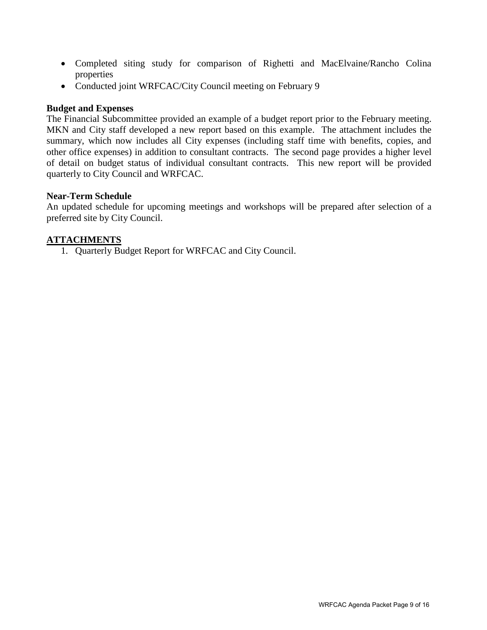- Completed siting study for comparison of Righetti and MacElvaine/Rancho Colina properties
- Conducted joint WRFCAC/City Council meeting on February 9

#### **Budget and Expenses**

The Financial Subcommittee provided an example of a budget report prior to the February meeting. MKN and City staff developed a new report based on this example. The attachment includes the summary, which now includes all City expenses (including staff time with benefits, copies, and other office expenses) in addition to consultant contracts. The second page provides a higher level of detail on budget status of individual consultant contracts. This new report will be provided quarterly to City Council and WRFCAC.

## **Near-Term Schedule**

An updated schedule for upcoming meetings and workshops will be prepared after selection of a preferred site by City Council.

## **ATTACHMENTS**

1. Quarterly Budget Report for WRFCAC and City Council.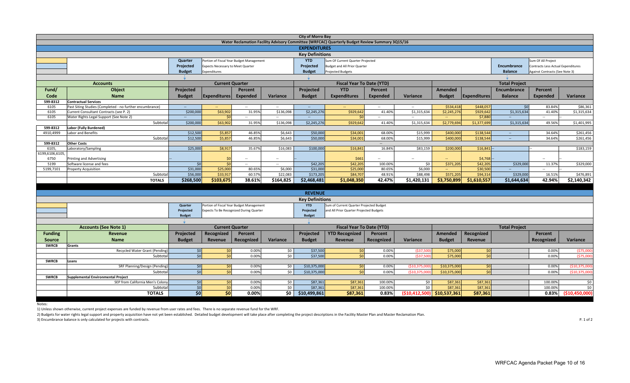| <b>City of Morro Bay</b>                                                                       |                                                                                                       |                                                      |                                          |                 |                |                                                                        |                                         |                 |                 |                      |                     |                      |                                    |                 |
|------------------------------------------------------------------------------------------------|-------------------------------------------------------------------------------------------------------|------------------------------------------------------|------------------------------------------|-----------------|----------------|------------------------------------------------------------------------|-----------------------------------------|-----------------|-----------------|----------------------|---------------------|----------------------|------------------------------------|-----------------|
| Water Reclamation Facility Advisory Committee (WRFCAC) Quarterly Budget Review Summary 3Q15/16 |                                                                                                       |                                                      |                                          |                 |                |                                                                        |                                         |                 |                 |                      |                     |                      |                                    |                 |
|                                                                                                | <b>EXPENDITURES</b>                                                                                   |                                                      |                                          |                 |                |                                                                        |                                         |                 |                 |                      |                     |                      |                                    |                 |
|                                                                                                | <b>Key Definitions</b>                                                                                |                                                      |                                          |                 |                |                                                                        |                                         |                 |                 |                      |                     |                      |                                    |                 |
|                                                                                                | <b>YTD</b><br>Sum Of Current Quarter Projected<br>Quarter<br>Portion of Fiscal Year Budget Management |                                                      |                                          |                 |                |                                                                        |                                         |                 |                 |                      |                     | Sum Of All Project   |                                    |                 |
|                                                                                                |                                                                                                       | Projected                                            | Expects Necessary to Meet Quarter        |                 |                | Projected                                                              | <b>Budget and All Prior Quarter</b>     |                 |                 |                      |                     | Encumbrance          | Contracts Less Actual Expenditures |                 |
|                                                                                                |                                                                                                       | <b>Budget</b>                                        | Expenditures                             |                 |                | <b>Budget</b>                                                          | <b>Projected Budgets</b>                |                 |                 |                      |                     | <b>Balance</b>       | Against Contracts (See Note 3)     |                 |
|                                                                                                |                                                                                                       |                                                      |                                          |                 |                |                                                                        |                                         |                 |                 |                      |                     |                      |                                    |                 |
|                                                                                                | <b>Accounts</b>                                                                                       |                                                      | <b>Current Quarter</b>                   |                 |                |                                                                        |                                         |                 |                 | <b>Total Project</b> |                     |                      |                                    |                 |
| Fund/                                                                                          | Object                                                                                                | Projected<br>Percent                                 |                                          |                 |                | <b>Fiscal Year To Date (YTD)</b><br><b>YTD</b><br>Projected<br>Percent |                                         |                 |                 |                      |                     | Encumbrance          | Percent                            |                 |
|                                                                                                |                                                                                                       |                                                      |                                          |                 |                |                                                                        |                                         |                 |                 | <b>Amended</b>       |                     |                      |                                    |                 |
| Code                                                                                           | <b>Name</b>                                                                                           | <b>Budget</b>                                        | <b>Expenditures</b>                      | <b>Expended</b> | Variance       | <b>Budget</b>                                                          | <b>Expenditures</b>                     | <b>Expended</b> | Variance        | <b>Budget</b>        | <b>Expenditures</b> | <b>Balance</b>       | <b>Expended</b>                    | Variance        |
| 599-8312                                                                                       | <b>Contractual Services</b>                                                                           |                                                      |                                          |                 |                |                                                                        |                                         |                 |                 |                      |                     |                      |                                    |                 |
| 6105                                                                                           | Past Siting Studies (Completed - no further encumbrance)                                              | $\sim$                                               | $\sim$                                   | $\sim$          | $\sim$         | $\overline{\phantom{a}}$                                               | $\sim$                                  | $\sim$          | $\sim$          | \$534,41             | \$448,057           | \$0                  | 83.84%                             | \$86,361        |
| 6105                                                                                           | Current Consultant Contracts (see P. 2)                                                               | \$200,000                                            | \$63,902                                 | 31.95%          | \$136,098      | \$2,245,276                                                            | \$929,642                               | 41.40%          | \$1,315,634     | \$2,245,27           | \$929,642           | \$1,315,634          | 41.40%                             | \$1,315,634     |
| 6105                                                                                           | Water Rights Legal Support (See Note 2)                                                               | $\mathbb{L}^{\mathbb{L}}$                            | 50                                       | $\sim$          | $\sim$         |                                                                        |                                         | $\sim$          | $\sim$          | $\omega_{\rm c}$     | \$7,88              |                      | $\overline{\phantom{a}}$           |                 |
|                                                                                                | Subtota                                                                                               | \$200,000                                            | \$63,902                                 | 31.95%          | \$136,098      | \$2,245,276                                                            | \$929,642                               | 41.40%          | \$1,315,634     | \$2,779,69           | \$1,377,699         | \$1,315,634          | 49.56%                             | \$1,401,995     |
| 599-8312                                                                                       | Labor (Fully Burdened)                                                                                |                                                      |                                          |                 |                |                                                                        |                                         |                 |                 |                      |                     |                      |                                    |                 |
| 4910,4999                                                                                      | Labor and Benefits                                                                                    | \$12,500                                             | \$5,857                                  | 46.85%          | \$6,643        | \$50,000                                                               | \$34,00                                 | 68.00%          | \$15,999        | \$400,00             | \$138,544           |                      | 34.64%                             | \$261,456       |
|                                                                                                | Subtota                                                                                               | \$12,500                                             | \$5,857                                  | 46.85%          | \$6,643        | \$50,000                                                               | \$34,001                                | 68.00%          | \$15,999        | \$400,000            | \$138,54            |                      | 34.64%                             | \$261,456       |
| 599-8312                                                                                       | <b>Other Costs</b>                                                                                    |                                                      |                                          |                 |                |                                                                        |                                         | $\overline{a}$  |                 |                      |                     |                      |                                    |                 |
| 6105                                                                                           | Laboratory/Sampling                                                                                   | \$25,000                                             | \$8,917                                  | 35.67%          | \$16,083       | \$100,000                                                              | \$16,841                                | 16.84%          | \$83,159        | \$200,000            | \$16,841            |                      |                                    | \$183,159       |
| 6199,6106,6105,                                                                                |                                                                                                       |                                                      |                                          |                 |                |                                                                        |                                         |                 |                 |                      |                     |                      |                                    |                 |
| 6750                                                                                           | Printing and Advertising                                                                              |                                                      |                                          |                 | $\overline{a}$ |                                                                        | \$661                                   |                 | $\overline{a}$  |                      | \$4,768             |                      | $\overline{\phantom{a}}$           |                 |
| 5199                                                                                           | Software license and fees                                                                             | \$0                                                  | 50                                       | $\sim$          | $\sim$         | \$42,205                                                               | \$42,20                                 | 100.009         | \$0             | \$371,20             | \$42,20             | \$329,000            | 11.379                             | \$329,000       |
| 5199,7101                                                                                      | <b>Property Acquisition</b>                                                                           | \$31,000                                             | \$25,000                                 | 80.659          | \$6,000        | \$31,000                                                               | \$25,000                                | 80.659          | \$6,000         |                      | \$30,50             |                      |                                    |                 |
|                                                                                                | Subtota                                                                                               | \$56,000                                             | \$33,917                                 | 60.579          | \$22,083       | \$173,205                                                              | \$84,70                                 | 48.919          | \$88,498        | \$571,205            | \$94,314            | \$329,000            | 16.51%                             | \$476,891       |
|                                                                                                | <b>TOTALS</b>                                                                                         | \$268,500                                            | \$103,675                                | 38.61%          | \$164,825      | \$2,468,481                                                            | \$1,048,350                             | 42.47%          | \$1,420,131     | \$3,750,899          | \$1,610,557         | \$1,644,634          | 42.94%                             | \$2,140,342     |
|                                                                                                |                                                                                                       |                                                      |                                          |                 |                |                                                                        |                                         |                 |                 |                      |                     |                      |                                    |                 |
|                                                                                                |                                                                                                       |                                                      |                                          |                 |                | <b>REVENUE</b>                                                         |                                         |                 |                 |                      |                     |                      |                                    |                 |
|                                                                                                |                                                                                                       |                                                      |                                          |                 |                | <b>Key Definitions</b>                                                 |                                         |                 |                 |                      |                     |                      |                                    |                 |
|                                                                                                |                                                                                                       | Quarter                                              | Portion of Fiscal Year Budget Management |                 |                | <b>YTD</b>                                                             | Sum of Current Quarter Projected Budget |                 |                 |                      |                     |                      |                                    |                 |
|                                                                                                |                                                                                                       | Projected<br>Expects To Be Recognized During Quarter |                                          |                 |                | Projected                                                              | and All Prior Quarter Projected Budgets |                 |                 |                      |                     |                      |                                    |                 |
|                                                                                                |                                                                                                       |                                                      | <b>Budget</b><br><b>Budget</b>           |                 |                |                                                                        |                                         |                 |                 |                      |                     |                      |                                    |                 |
|                                                                                                |                                                                                                       |                                                      |                                          |                 |                |                                                                        |                                         |                 |                 |                      |                     |                      |                                    |                 |
|                                                                                                | <b>Accounts (See Note 1)</b>                                                                          |                                                      | <b>Current Quarter</b>                   |                 |                |                                                                        | <b>Fiscal Year To Date (YTD)</b>        |                 |                 |                      |                     | <b>Total Project</b> |                                    |                 |
| <b>Funding</b>                                                                                 | Revenue                                                                                               | Projected                                            | Recognized                               | Percent         |                | Projected                                                              | <b>YTD Recognized</b>                   | Percent         |                 | Amended              | Recognized          |                      | Percent                            |                 |
| <b>Source</b>                                                                                  | <b>Name</b>                                                                                           | <b>Budget</b>                                        |                                          | Recognized      | Variance       | <b>Budget</b>                                                          |                                         | Recognized      | Variance        | <b>Budget</b>        |                     |                      | Recognized                         | Variance        |
|                                                                                                |                                                                                                       |                                                      | Revenue                                  |                 |                |                                                                        | Revenue                                 |                 |                 |                      | Revenue             |                      |                                    |                 |
| <b>SWRCB</b>                                                                                   | Grants                                                                                                |                                                      |                                          |                 |                |                                                                        |                                         |                 |                 |                      |                     |                      |                                    |                 |
|                                                                                                | Recycled Water Grant (Pending)                                                                        | \$0<br>\$0                                           | \$0<br>\$0                               | 0.00%<br>0.00%  | \$0            | \$37,500                                                               | \$0<br>\$0                              | 0.00%           | (537,500)       | \$75,000             | 50<br>50            |                      | 0.00%<br>0.00%                     | (\$75,000)      |
|                                                                                                | Subtotal                                                                                              |                                                      |                                          |                 | \$0            | \$37,500                                                               |                                         | 0.00%           | (537,500)       | \$75,000             |                     |                      |                                    | (\$75,000)      |
| <b>SWRCB</b>                                                                                   | Loans                                                                                                 |                                                      | \$0                                      | 0.00%           |                | \$10,375,000                                                           | \$0                                     | 0.00%           |                 | \$10,375,000         | \$0                 |                      | 0.00%                              | (\$10,375,000)  |
|                                                                                                | SRF Planning/Design (Pending)                                                                         | $\frac{1}{2}$                                        |                                          |                 | \$0            |                                                                        |                                         |                 | (\$10,375,00    |                      |                     |                      |                                    |                 |
|                                                                                                | Subtota                                                                                               | \$0                                                  | \$0                                      | 0.00%           | \$0            | \$10,375,000                                                           | \$0                                     | 0.00%           | (\$10,375,00    | \$10,375,00          | \$0                 |                      | 0.00%                              | (\$10,375,000)  |
| <b>SWRCB</b>                                                                                   | <b>Supplemental Environmental Project</b>                                                             |                                                      |                                          |                 |                |                                                                        |                                         |                 |                 |                      |                     |                      |                                    |                 |
|                                                                                                | SEP from California Men's Colony                                                                      | \$0                                                  | \$0                                      | 0.00%           | \$0            | \$87,361                                                               | \$87,361                                | 100.00%         | \$0             | \$87,361             | \$87,361            |                      | 100.00%                            | \$0             |
|                                                                                                | Subtota                                                                                               | 50                                                   | \$0                                      | 0.00%           | \$0            | \$87,361                                                               | \$87,363                                | 100.009         | \$0             | \$87,36              | \$87,36             |                      | 100.00%                            | \$0             |
|                                                                                                | <b>TOTALS</b>                                                                                         | \$0                                                  | \$0                                      | 0.00%           | \$0            | \$10,499,861                                                           | \$87,361                                | 0.83%           | (510, 412, 500) | \$10,537,361         | \$87,361            |                      | 0.83%                              | ( \$10,450,000] |
|                                                                                                |                                                                                                       |                                                      |                                          |                 |                |                                                                        |                                         |                 |                 |                      |                     |                      |                                    |                 |

Notes:

1) Unless shown otherwise, current project expenses are funded by revenue from user rates and fees. There is no separate revenue fund for the WRF.

2) Budgets for water rights legal support and property acquisition have not yet been established. Detailed budget development will take place after completing the project descriptions in the Facility Master Plan and Master

3) Encumbrance balance is only calculated for projects with contracts. P. 1 of 2